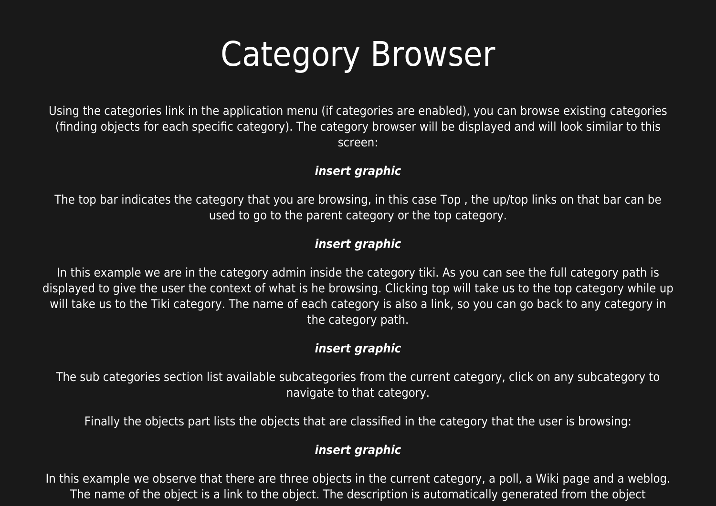# Category Browser

Using the categories link in the application menu (if categories are enabled), you can browse existing categories (finding objects for each specific category). The category browser will be displayed and will look similar to this screen:

#### *insert graphic*

The top bar indicates the category that you are browsing, in this case Top , the up/top links on that bar can be used to go to the parent category or the top category.

# *insert graphic*

In this example we are in the category admin inside the category tiki. As you can see the full category path is displayed to give the user the context of what is he browsing. Clicking top will take us to the top category while up will take us to the Tiki category. The name of each category is also a link, so you can go back to any category in the category path.

## *insert graphic*

The sub categories section list available subcategories from the current category, click on any subcategory to navigate to that category.

Finally the objects part lists the objects that are classified in the category that the user is browsing:

### *insert graphic*

In this example we observe that there are three objects in the current category, a poll, a Wiki page and a weblog. The name of the object is a link to the object. The description is automatically generated from the object